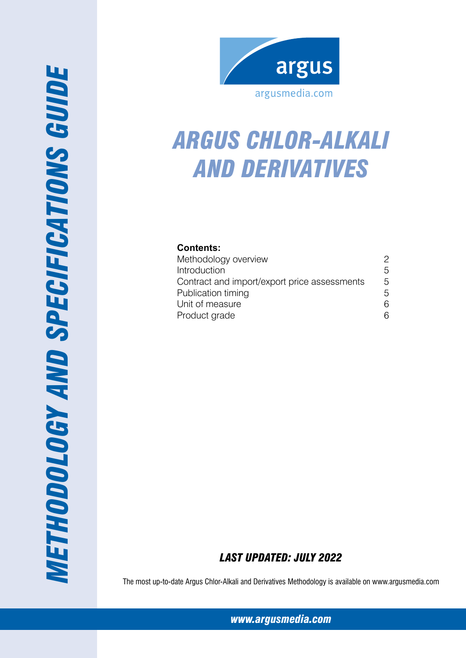

# *aRGUS cHLOR-aLKALI AND DERIVATIVES*

# **Contents:**

| Methodology overview                         | 2 |
|----------------------------------------------|---|
| Introduction                                 | 5 |
| Contract and import/export price assessments | 5 |
| Publication timing                           | 5 |
| Unit of measure                              | 6 |
| Product grade                                | ี |

# *Last Updated: July 2022*

The most up-to-date Argus Chlor-Alkali and Derivatives Methodology is available on www.argusmedia.com

*[www.argusmedia.com](http://www.argusmediagroup.com)*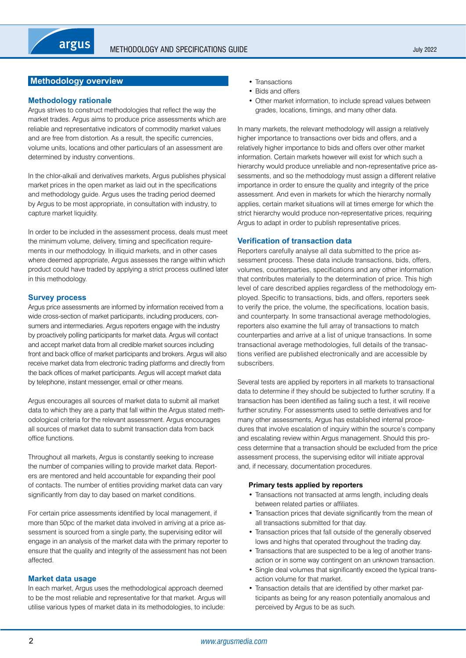# <span id="page-1-0"></span>**Methodology overview**

# **Methodology rationale**

Argus strives to construct methodologies that reflect the way the market trades. Argus aims to produce price assessments which are reliable and representative indicators of commodity market values and are free from distortion. As a result, the specific currencies, volume units, locations and other particulars of an assessment are determined by industry conventions.

In the chlor-alkali and derivatives markets, Argus publishes physical market prices in the open market as laid out in the specifications and methodology guide. Argus uses the trading period deemed by Argus to be most appropriate, in consultation with industry, to capture market liquidity.

In order to be included in the assessment process, deals must meet the minimum volume, delivery, timing and specification requirements in our methodology. In illiquid markets, and in other cases where deemed appropriate, Argus assesses the range within which product could have traded by applying a strict process outlined later in this methodology.

# **Survey process**

Argus price assessments are informed by information received from a wide cross-section of market participants, including producers, consumers and intermediaries. Argus reporters engage with the industry by proactively polling participants for market data. Argus will contact and accept market data from all credible market sources including front and back office of market participants and brokers. Argus will also receive market data from electronic trading platforms and directly from the back offices of market participants. Argus will accept market data by telephone, instant messenger, email or other means.

Argus encourages all sources of market data to submit all market data to which they are a party that fall within the Argus stated methodological criteria for the relevant assessment. Argus encourages all sources of market data to submit transaction data from back office functions.

Throughout all markets, Argus is constantly seeking to increase the number of companies willing to provide market data. Reporters are mentored and held accountable for expanding their pool of contacts. The number of entities providing market data can vary significantly from day to day based on market conditions.

For certain price assessments identified by local management, if more than 50pc of the market data involved in arriving at a price assessment is sourced from a single party, the supervising editor will engage in an analysis of the market data with the primary reporter to ensure that the quality and integrity of the assessment has not been affected.

# **Market data usage**

In each market, Argus uses the methodological approach deemed to be the most reliable and representative for that market. Argus will utilise various types of market data in its methodologies, to include:

- Transactions
- Bids and offers
- Other market information, to include spread values between grades, locations, timings, and many other data.

In many markets, the relevant methodology will assign a relatively higher importance to transactions over bids and offers, and a relatively higher importance to bids and offers over other market information. Certain markets however will exist for which such a hierarchy would produce unreliable and non-representative price assessments, and so the methodology must assign a different relative importance in order to ensure the quality and integrity of the price assessment. And even in markets for which the hierarchy normally applies, certain market situations will at times emerge for which the strict hierarchy would produce non-representative prices, requiring Argus to adapt in order to publish representative prices.

# **Verification of transaction data**

Reporters carefully analyse all data submitted to the price assessment process. These data include transactions, bids, offers, volumes, counterparties, specifications and any other information that contributes materially to the determination of price. This high level of care described applies regardless of the methodology employed. Specific to transactions, bids, and offers, reporters seek to verify the price, the volume, the specifications, location basis, and counterparty. In some transactional average methodologies, reporters also examine the full array of transactions to match counterparties and arrive at a list of unique transactions. In some transactional average methodologies, full details of the transactions verified are published electronically and are accessible by subscribers.

Several tests are applied by reporters in all markets to transactional data to determine if they should be subjected to further scrutiny. If a transaction has been identified as failing such a test, it will receive further scrutiny. For assessments used to settle derivatives and for many other assessments, Argus has established internal procedures that involve escalation of inquiry within the source's company and escalating review within Argus management. Should this process determine that a transaction should be excluded from the price assessment process, the supervising editor will initiate approval and, if necessary, documentation procedures.

# **Primary tests applied by reporters**

- Transactions not transacted at arms length, including deals between related parties or affiliates.
- Transaction prices that deviate significantly from the mean of all transactions submitted for that day.
- Transaction prices that fall outside of the generally observed lows and highs that operated throughout the trading day.
- Transactions that are suspected to be a leg of another transaction or in some way contingent on an unknown transaction.
- Single deal volumes that significantly exceed the typical transaction volume for that market.
- Transaction details that are identified by other market participants as being for any reason potentially anomalous and perceived by Argus to be as such.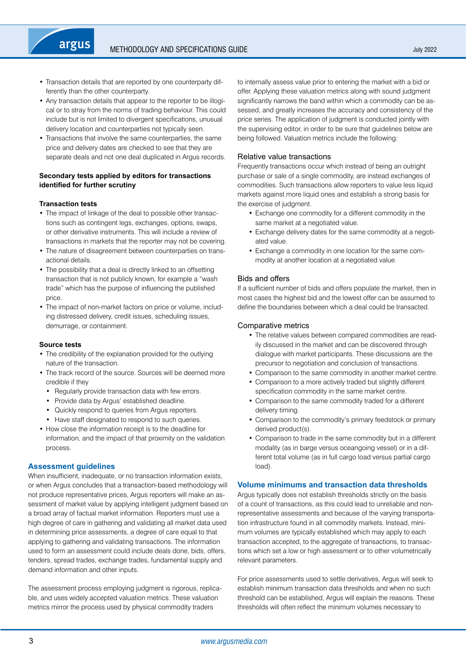- Transaction details that are reported by one counterparty differently than the other counterparty.
- Any transaction details that appear to the reporter to be illogical or to stray from the norms of trading behaviour. This could include but is not limited to divergent specifications, unusual delivery location and counterparties not typically seen.
- Transactions that involve the same counterparties, the same price and delivery dates are checked to see that they are separate deals and not one deal duplicated in Argus records.

# **Secondary tests applied by editors for transactions identified for further scrutiny**

# **Transaction tests**

argus

- The impact of linkage of the deal to possible other transactions such as contingent legs, exchanges, options, swaps, or other derivative instruments. This will include a review of transactions in markets that the reporter may not be covering.
- The nature of disagreement between counterparties on transactional details.
- The possibility that a deal is directly linked to an offsetting transaction that is not publicly known, for example a "wash trade" which has the purpose of influencing the published price.
- The impact of non-market factors on price or volume, including distressed delivery, credit issues, scheduling issues, demurrage, or containment.

#### **Source tests**

- The credibility of the explanation provided for the outlying nature of the transaction.
- The track record of the source. Sources will be deemed more credible if they
	- Regularly provide transaction data with few errors.
	- Provide data by Argus' established deadline.
	- • Quickly respond to queries from Argus reporters.
- Have staff designated to respond to such queries.
- • How close the information receipt is to the deadline for information, and the impact of that proximity on the validation process.

# **Assessment guidelines**

When insufficient, inadequate, or no transaction information exists, or when Argus concludes that a transaction-based methodology will not produce representative prices, Argus reporters will make an assessment of market value by applying intelligent judgment based on a broad array of factual market information. Reporters must use a high degree of care in gathering and validating all market data used in determining price assessments, a degree of care equal to that applying to gathering and validating transactions. The information used to form an assessment could include deals done, bids, offers, tenders, spread trades, exchange trades, fundamental supply and demand information and other inputs.

The assessment process employing judgment is rigorous, replicable, and uses widely accepted valuation metrics. These valuation metrics mirror the process used by physical commodity traders

to internally assess value prior to entering the market with a bid or offer. Applying these valuation metrics along with sound judgment significantly narrows the band within which a commodity can be assessed, and greatly increases the accuracy and consistency of the price series. The application of judgment is conducted jointly with the supervising editor, in order to be sure that guidelines below are being followed. Valuation metrics include the following:

# Relative value transactions

Frequently transactions occur which instead of being an outright purchase or sale of a single commodity, are instead exchanges of commodities. Such transactions allow reporters to value less liquid markets against more liquid ones and establish a strong basis for the exercise of judgment.

- Exchange one commodity for a different commodity in the same market at a negotiated value.
- Exchange delivery dates for the same commodity at a negotiated value.
- • Exchange a commodity in one location for the same commodity at another location at a negotiated value.

# Bids and offers

If a sufficient number of bids and offers populate the market, then in most cases the highest bid and the lowest offer can be assumed to define the boundaries between which a deal could be transacted.

# Comparative metrics

- The relative values between compared commodities are readily discussed in the market and can be discovered through dialogue with market participants. These discussions are the precursor to negotiation and conclusion of transactions.
- Comparison to the same commodity in another market centre.
- Comparison to a more actively traded but slightly different specification commodity in the same market centre.
- • Comparison to the same commodity traded for a different delivery timing.
- Comparison to the commodity's primary feedstock or primary derived product(s).
- Comparison to trade in the same commodity but in a different modality (as in barge versus oceangoing vessel) or in a different total volume (as in full cargo load versus partial cargo load).

# **Volume minimums and transaction data thresholds**

Argus typically does not establish thresholds strictly on the basis of a count of transactions, as this could lead to unreliable and nonrepresentative assessments and because of the varying transportation infrastructure found in all commodity markets. Instead, minimum volumes are typically established which may apply to each transaction accepted, to the aggregate of transactions, to transactions which set a low or high assessment or to other volumetrically relevant parameters.

For price assessments used to settle derivatives, Argus will seek to establish minimum transaction data thresholds and when no such threshold can be established, Argus will explain the reasons. These thresholds will often reflect the minimum volumes necessary to

July 2022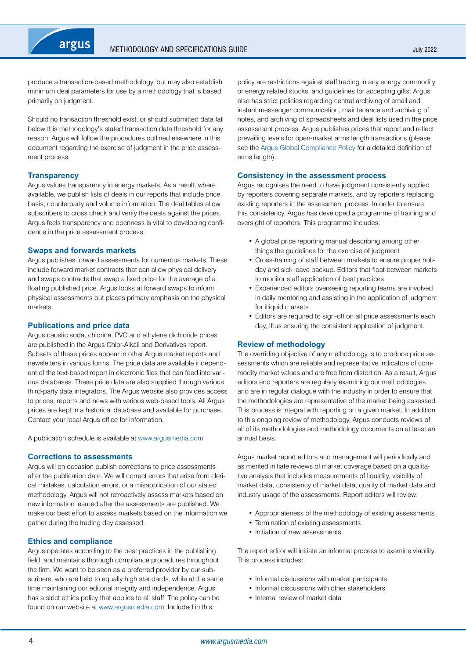

produce a transaction-based methodology, but may also establish minimum deal parameters for use by a methodology that is based primarily on judgment.

Should no transaction threshold exist, or should submitted data fall below this methodology's stated transaction data threshold for any reason, Argus will follow the procedures outlined elsewhere in this document regarding the exercise of judgment in the price assessment process.

#### **Transparency**

Argus values transparency in energy markets. As a result, where available, we publish lists of deals in our reports that include price, basis, counterparty and volume information. The deal tables allow subscribers to cross check and verify the deals against the prices. Argus feels transparency and openness is vital to developing confidence in the price assessment process.

#### **Swaps and forwards markets**

Argus publishes forward assessments for numerous markets. These include forward market contracts that can allow physical delivery and swaps contracts that swap a fixed price for the average of a floating published price. Argus looks at forward swaps to inform physical assessments but places primary emphasis on the physical markets.

## **Publications and price data**

Argus caustic soda, chlorine, PVC and ethylene dichloride prices are published in the Argus Chlor-Alkali and Derivatives report. Subsets of these prices appear in other Argus market reports and newsletters in various forms. The price data are available independent of the text-based report in electronic files that can feed into various databases. These price data are also supplied through various third-party data integrators. The Argus website also provides access to prices, reports and news with various web-based tools. All Argus prices are kept in a historical database and available for purchase. Contact your local Argus office for information.

A publication schedule is available at [www.argusmedia.com](https://www.argusmedia.com/en)

## **Corrections to assessments**

Argus will on occasion publish corrections to price assessments after the publication date. We will correct errors that arise from clerical mistakes, calculation errors, or a misapplication of our stated methodology. Argus will not retroactively assess markets based on new information learned after the assessments are published. We make our best effort to assess markets based on the information we gather during the trading day assessed.

#### **Ethics and compliance**

Argus operates according to the best practices in the publishing field, and maintains thorough compliance procedures throughout the firm. We want to be seen as a preferred provider by our subscribers, who are held to equally high standards, while at the same time maintaining our editorial integrity and independence. Argus has a strict ethics policy that applies to all staff. The policy can be found on our website at [www.argusmedia.com.](https://www.argusmedia.com/en) Included in this

policy are restrictions against staff trading in any energy commodity or energy related stocks, and guidelines for accepting gifts. Argus also has strict policies regarding central archiving of email and instant messenger communication, maintenance and archiving of notes, and archiving of spreadsheets and deal lists used in the price assessment process. Argus publishes prices that report and reflect prevailing levels for open-market arms length transactions (please see the [Argus Global Compliance Policy](https://www.argusmedia.com/-/media/Files/governance-and-compliance/global-compliance.ashx?la=en&hash=D7D700EDAED183C15910880EDA933A50CDE8D196) for a detailed definition of arms length).

## **Consistency in the assessment process**

Argus recognises the need to have judgment consistently applied by reporters covering separate markets, and by reporters replacing existing reporters in the assessment process. In order to ensure this consistency, Argus has developed a programme of training and oversight of reporters. This programme includes:

- A global price reporting manual describing among other things the guidelines for the exercise of judgment
- Cross-training of staff between markets to ensure proper holiday and sick leave backup. Editors that float between markets to monitor staff application of best practices
- Experienced editors overseeing reporting teams are involved in daily mentoring and assisting in the application of judgment for illiquid markets
- Editors are required to sign-off on all price assessments each day, thus ensuring the consistent application of judgment.

#### **Review of methodology**

The overriding objective of any methodology is to produce price assessments which are reliable and representative indicators of commodity market values and are free from distortion. As a result, Argus editors and reporters are regularly examining our methodologies and are in regular dialogue with the industry in order to ensure that the methodologies are representative of the market being assessed. This process is integral with reporting on a given market. In addition to this ongoing review of methodology, Argus conducts reviews of all of its methodologies and methodology documents on at least an annual basis.

Argus market report editors and management will periodically and as merited initiate reviews of market coverage based on a qualitative analysis that includes measurements of liquidity, visibility of market data, consistency of market data, quality of market data and industry usage of the assessments. Report editors will review:

- Appropriateness of the methodology of existing assessments
- Termination of existing assessments
- Initiation of new assessments.

The report editor will initiate an informal process to examine viability. This process includes:

- Informal discussions with market participants
- Informal discussions with other stakeholders
- • Internal review of market data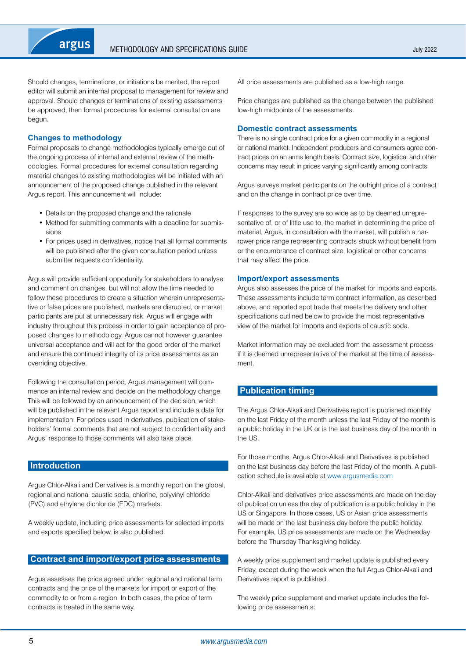<span id="page-4-0"></span>Should changes, terminations, or initiations be merited, the report editor will submit an internal proposal to management for review and approval. Should changes or terminations of existing assessments be approved, then formal procedures for external consultation are begun.

# **Changes to methodology**

Formal proposals to change methodologies typically emerge out of the ongoing process of internal and external review of the methodologies. Formal procedures for external consultation regarding material changes to existing methodologies will be initiated with an announcement of the proposed change published in the relevant Argus report. This announcement will include:

- Details on the proposed change and the rationale
- Method for submitting comments with a deadline for submissions
- For prices used in derivatives, notice that all formal comments will be published after the given consultation period unless submitter requests confidentiality.

Argus will provide sufficient opportunity for stakeholders to analyse and comment on changes, but will not allow the time needed to follow these procedures to create a situation wherein unrepresentative or false prices are published, markets are disrupted, or market participants are put at unnecessary risk. Argus will engage with industry throughout this process in order to gain acceptance of proposed changes to methodology. Argus cannot however guarantee universal acceptance and will act for the good order of the market and ensure the continued integrity of its price assessments as an overriding objective.

Following the consultation period, Argus management will commence an internal review and decide on the methodology change. This will be followed by an announcement of the decision, which will be published in the relevant Argus report and include a date for implementation. For prices used in derivatives, publication of stakeholders' formal comments that are not subject to confidentiality and Argus' response to those comments will also take place.

# **Introduction**

Argus Chlor-Alkali and Derivatives is a monthly report on the global, regional and national caustic soda, chlorine, polyvinyl chloride (PVC) and ethylene dichloride (EDC) markets.

A weekly update, including price assessments for selected imports and exports specified below, is also published.

# **Contract and import/export price assessments**

Argus assesses the price agreed under regional and national term contracts and the price of the markets for import or export of the commodity to or from a region. In both cases, the price of term contracts is treated in the same way.

All price assessments are published as a low-high range.

Price changes are published as the change between the published low-high midpoints of the assessments.

## **Domestic contract assessments**

There is no single contract price for a given commodity in a regional or national market. Independent producers and consumers agree contract prices on an arms length basis. Contract size, logistical and other concerns may result in prices varying significantly among contracts.

Argus surveys market participants on the outright price of a contract and on the change in contract price over time.

If responses to the survey are so wide as to be deemed unrepresentative of, or of little use to, the market in determining the price of material, Argus, in consultation with the market, will publish a narrower price range representing contracts struck without benefit from or the encumbrance of contract size, logistical or other concerns that may affect the price.

## **Import/export assessments**

Argus also assesses the price of the market for imports and exports. These assessments include term contract information, as described above, and reported spot trade that meets the delivery and other specifications outlined below to provide the most representative view of the market for imports and exports of caustic soda.

Market information may be excluded from the assessment process if it is deemed unrepresentative of the market at the time of assessment.

# **Publication timing**

The Argus Chlor-Alkali and Derivatives report is published monthly on the last Friday of the month unless the last Friday of the month is a public holiday in the UK or is the last business day of the month in the US.

For those months, Argus Chlor-Alkali and Derivatives is published on the last business day before the last Friday of the month. A publication schedule is available at [www.argusmedia.com](https://www.argusmedia.com/en)

Chlor-Alkali and derivatives price assessments are made on the day of publication unless the day of publication is a public holiday in the US or Singapore. In those cases, US or Asian price assessments will be made on the last business day before the public holiday. For example, US price assessments are made on the Wednesday before the Thursday Thanksgiving holiday.

A weekly price supplement and market update is published every Friday, except during the week when the full Argus Chlor-Alkali and Derivatives report is published.

The weekly price supplement and market update includes the following price assessments: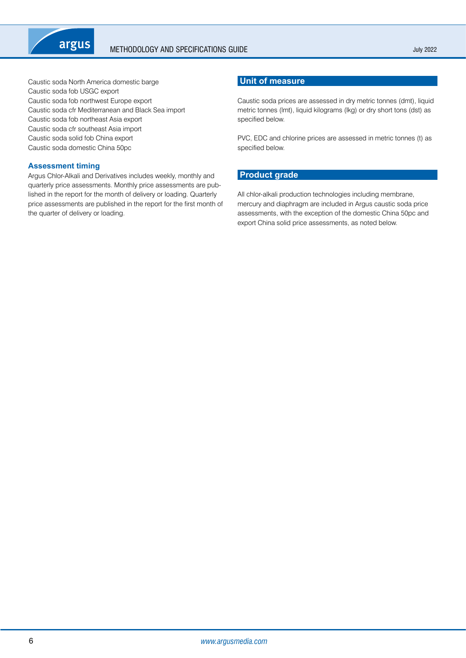<span id="page-5-0"></span>

Caustic soda North America domestic barge Caustic soda fob USGC export Caustic soda fob northwest Europe export Caustic soda cfr Mediterranean and Black Sea import Caustic soda fob northeast Asia export Caustic soda cfr southeast Asia import Caustic soda solid fob China export Caustic soda domestic China 50pc

# **Assessment timing**

Argus Chlor-Alkali and Derivatives includes weekly, monthly and quarterly price assessments. Monthly price assessments are published in the report for the month of delivery or loading. Quarterly price assessments are published in the report for the first month of the quarter of delivery or loading.

# **Unit of measure**

Caustic soda prices are assessed in dry metric tonnes (dmt), liquid metric tonnes (lmt), liquid kilograms (lkg) or dry short tons (dst) as specified below.

PVC, EDC and chlorine prices are assessed in metric tonnes (t) as specified below.

# **Product grade**

All chlor-alkali production technologies including membrane, mercury and diaphragm are included in Argus caustic soda price assessments, with the exception of the domestic China 50pc and export China solid price assessments, as noted below.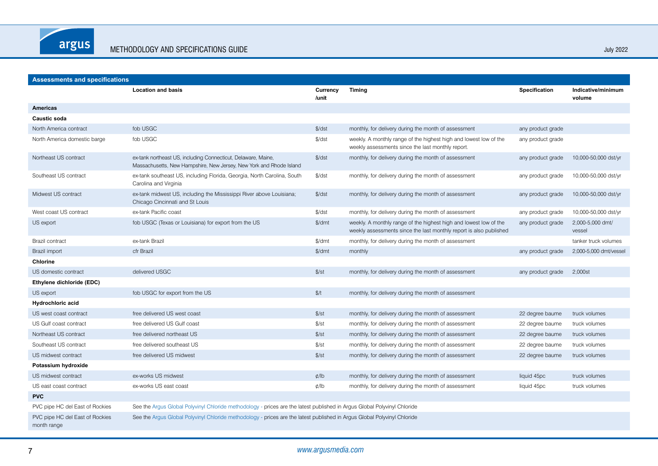argus

**Assessments and specifications**

| Assessments and specifications |                                                                                                                                      |                    |                                                                                                                                         |                               |                              |  |  |
|--------------------------------|--------------------------------------------------------------------------------------------------------------------------------------|--------------------|-----------------------------------------------------------------------------------------------------------------------------------------|-------------------------------|------------------------------|--|--|
|                                | <b>Location and basis</b>                                                                                                            | Currency<br>/unit  | <b>Timing</b>                                                                                                                           | <b>Specification</b>          | Indicative/minimum<br>volume |  |  |
| Americas                       |                                                                                                                                      |                    |                                                                                                                                         |                               |                              |  |  |
| <b>Caustic soda</b>            |                                                                                                                                      |                    |                                                                                                                                         |                               |                              |  |  |
| North America contract         | fob USGC                                                                                                                             | $\frac{1}{2}$ /dst | monthly, for delivery during the month of assessment                                                                                    | any product grade             |                              |  |  |
| North America domestic barge   | fob USGC                                                                                                                             | $\frac{1}{2}$ /dst | weekly. A monthly range of the highest high and lowest low of the<br>weekly assessments since the last monthly report.                  | any product grade             |                              |  |  |
| Northeast US contract          | ex-tank northeast US, including Connecticut, Delaware, Maine,<br>Massachusetts, New Hampshire, New Jersey, New York and Rhode Island | $\frac{1}{2}$ /dst | monthly, for delivery during the month of assessment                                                                                    | any product grade             | 10,000-50,000 dst/yr         |  |  |
| Southeast US contract          | ex-tank southeast US, including Florida, Georgia, North Carolina, South<br>Carolina and Virginia                                     | $\frac{1}{2}$ dst  | monthly, for delivery during the month of assessment                                                                                    | any product grade             | 10,000-50,000 dst/yr         |  |  |
| Midwest US contract            | ex-tank midwest US, including the Mississippi River above Louisiana;<br>Chicago Cincinnati and St Louis                              | $\frac{1}{2}$ dst  | monthly, for delivery during the month of assessment                                                                                    | any product grade             | 10,000-50,000 dst/yr         |  |  |
| West coast US contract         | ex-tank Pacific coast                                                                                                                | $\frac{1}{2}$ dst  | monthly, for delivery during the month of assessment                                                                                    | any product grade             | 10,000-50,000 dst/yr         |  |  |
| US export                      | fob USGC (Texas or Louisiana) for export from the US                                                                                 | \$/dmt             | weekly. A monthly range of the highest high and lowest low of the<br>weekly assessments since the last monthly report is also published | any product grade             | 2,000-5,000 dmt/<br>vessel   |  |  |
| <b>Brazil contract</b>         | ex-tank Brazil                                                                                                                       | \$/dmt             | monthly, for delivery during the month of assessment                                                                                    |                               | tanker truck volumes         |  |  |
| Brazil import                  | cfr Brazil                                                                                                                           | \$/dmt             | monthly                                                                                                                                 | any product grade             | 2,000-5,000 dmt/vessel       |  |  |
| Chlorine                       |                                                                                                                                      |                    |                                                                                                                                         |                               |                              |  |  |
| US domestic contract           | delivered USGC                                                                                                                       | $\frac{f}{f}$ st   | monthly, for delivery during the month of assessment                                                                                    | any product grade             | 2,000st                      |  |  |
| Ethylene dichloride (EDC)      |                                                                                                                                      |                    |                                                                                                                                         |                               |                              |  |  |
| US export                      | fob USGC for export from the US                                                                                                      | \$/t               | monthly, for delivery during the month of assessment                                                                                    |                               |                              |  |  |
| Hydrochloric acid              |                                                                                                                                      |                    |                                                                                                                                         |                               |                              |  |  |
| $110$ uset coost contract.     | frog delivered LIO west coost                                                                                                        | $A/a+$             | monthly fax delivery during the month of cooperant                                                                                      | 00 degree houme trueluplument |                              |  |  |

| US export                                      | fob USGC for export from the US                                                                                          | \$/t          | monthly, for delivery during the month of assessment |                 |               |
|------------------------------------------------|--------------------------------------------------------------------------------------------------------------------------|---------------|------------------------------------------------------|-----------------|---------------|
| Hydrochloric acid                              |                                                                                                                          |               |                                                      |                 |               |
| US west coast contract                         | free delivered US west coast                                                                                             | \$/st         | monthly, for delivery during the month of assessment | 22 degree baume | truck volumes |
| US Gulf coast contract                         | free delivered US Gulf coast                                                                                             | $\frac{f}{f}$ | monthly, for delivery during the month of assessment | 22 degree baume | truck volumes |
| Northeast US contract                          | free delivered northeast US                                                                                              | \$/st         | monthly, for delivery during the month of assessment | 22 degree baume | truck volumes |
| Southeast US contract                          | free delivered southeast US                                                                                              | $\frac{f}{f}$ | monthly, for delivery during the month of assessment | 22 degree baume | truck volumes |
| US midwest contract                            | free delivered US midwest                                                                                                | \$/st         | monthly, for delivery during the month of assessment | 22 degree baume | truck volumes |
| Potassium hydroxide                            |                                                                                                                          |               |                                                      |                 |               |
| US midwest contract                            | ex-works US midwest                                                                                                      | $\phi$ /lb    | monthly, for delivery during the month of assessment | liquid 45pc     | truck volumes |
| US east coast contract                         | ex-works US east coast                                                                                                   | $\phi$ /lb    | monthly, for delivery during the month of assessment | liquid 45pc     | truck volumes |
| <b>PVC</b>                                     |                                                                                                                          |               |                                                      |                 |               |
| PVC pipe HC del East of Rockies                | See the Argus Global Polyvinyl Chloride methodology - prices are the latest published in Argus Global Polyvinyl Chloride |               |                                                      |                 |               |
| PVC pipe HC del East of Rockies<br>month range | See the Argus Global Polyvinyl Chloride methodology - prices are the latest published in Argus Global Polyvinyl Chloride |               |                                                      |                 |               |

# 7 *www.argusmedia.com*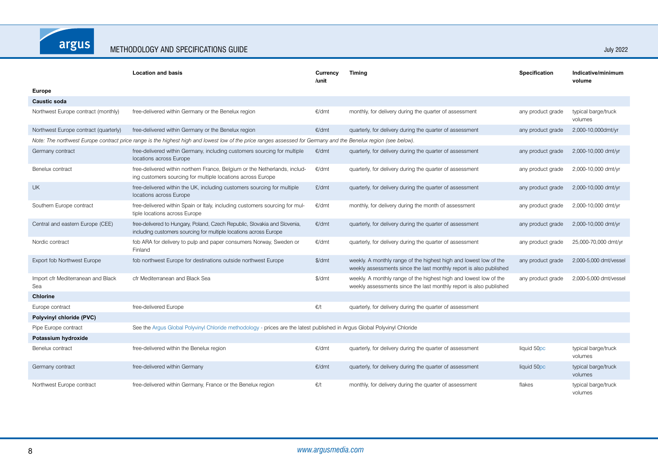argus

|                                                                                                                                                  | <b>Location and basis</b>                                                                                                                                       | Currency<br>/unit | <b>Timing</b>                                                                                                                           | <b>Specification</b> | Indicative/minimum<br>volume   |  |  |
|--------------------------------------------------------------------------------------------------------------------------------------------------|-----------------------------------------------------------------------------------------------------------------------------------------------------------------|-------------------|-----------------------------------------------------------------------------------------------------------------------------------------|----------------------|--------------------------------|--|--|
| Europe                                                                                                                                           |                                                                                                                                                                 |                   |                                                                                                                                         |                      |                                |  |  |
| <b>Caustic soda</b>                                                                                                                              |                                                                                                                                                                 |                   |                                                                                                                                         |                      |                                |  |  |
| Northwest Europe contract (monthly)                                                                                                              | free-delivered within Germany or the Benelux region                                                                                                             | €/dmt             | monthly, for delivery during the quarter of assessment                                                                                  | any product grade    | typical barge/truck<br>volumes |  |  |
| Northwest Europe contract (quarterly)                                                                                                            | free-delivered within Germany or the Benelux region                                                                                                             | €/dmt             | quarterly, for delivery during the quarter of assessment                                                                                | any product grade    | 2,000-10,000dmt/yr             |  |  |
|                                                                                                                                                  | Note: The northwest Europe contract price range is the highest high and lowest low of the price ranges assessed for Germany and the Benelux region (see below). |                   |                                                                                                                                         |                      |                                |  |  |
| Germany contract                                                                                                                                 | free-delivered within Germany, including customers sourcing for multiple<br>locations across Europe                                                             | €/dmt             | quarterly, for delivery during the quarter of assessment                                                                                | any product grade    | 2,000-10,000 dmt/yr            |  |  |
| Benelux contract                                                                                                                                 | free-delivered within northern France, Belgium or the Netherlands, includ-<br>ing customers sourcing for multiple locations across Europe                       | €/dmt             | quarterly, for delivery during the quarter of assessment                                                                                | any product grade    | 2,000-10,000 dmt/yr            |  |  |
| <b>UK</b>                                                                                                                                        | free-delivered within the UK, including customers sourcing for multiple<br>locations across Europe                                                              | E/dmt             | quarterly, for delivery during the quarter of assessment                                                                                | any product grade    | 2,000-10,000 dmt/yr            |  |  |
| Southern Europe contract                                                                                                                         | free-delivered within Spain or Italy, including customers sourcing for mul-<br>tiple locations across Europe                                                    | €/dmt             | monthly, for delivery during the month of assessment                                                                                    | any product grade    | 2,000-10,000 dmt/yr            |  |  |
| Central and eastern Europe (CEE)                                                                                                                 | free-delivered to Hungary, Poland, Czech Republic, Slovakia and Slovenia,<br>including customers sourcing for multiple locations across Europe                  | €/dmt             | quarterly, for delivery during the quarter of assessment                                                                                | any product grade    | 2,000-10,000 dmt/yr            |  |  |
| Nordic contract                                                                                                                                  | fob ARA for delivery to pulp and paper consumers Norway, Sweden or<br>Finland                                                                                   | €/dmt             | quarterly, for delivery during the quarter of assessment                                                                                | any product grade    | 25,000-70,000 dmt/yr           |  |  |
| Export fob Northwest Europe                                                                                                                      | fob northwest Europe for destinations outside northwest Europe                                                                                                  | $\frac{4}{3}$ dmt | weekly. A monthly range of the highest high and lowest low of the<br>weekly assessments since the last monthly report is also published | any product grade    | 2,000-5,000 dmt/vessel         |  |  |
| Import cfr Mediterranean and Black<br>Sea                                                                                                        | cfr Mediterranean and Black Sea                                                                                                                                 | \$/dmt            | weekly. A monthly range of the highest high and lowest low of the<br>weekly assessments since the last monthly report is also published | any product grade    | 2,000-5,000 dmt/vessel         |  |  |
| <b>Chlorine</b>                                                                                                                                  |                                                                                                                                                                 |                   |                                                                                                                                         |                      |                                |  |  |
| Europe contract                                                                                                                                  | free-delivered Europe                                                                                                                                           | $\epsilon/t$      | quarterly, for delivery during the quarter of assessment                                                                                |                      |                                |  |  |
| Polyvinyl chloride (PVC)                                                                                                                         |                                                                                                                                                                 |                   |                                                                                                                                         |                      |                                |  |  |
| See the Argus Global Polyvinyl Chloride methodology - prices are the latest published in Argus Global Polyvinyl Chloride<br>Pipe Europe contract |                                                                                                                                                                 |                   |                                                                                                                                         |                      |                                |  |  |
| Potassium hydroxide                                                                                                                              |                                                                                                                                                                 |                   |                                                                                                                                         |                      |                                |  |  |
| Benelux contract                                                                                                                                 | free-delivered within the Benelux region                                                                                                                        | €/dmt             | quarterly, for delivery during the quarter of assessment                                                                                | liquid 50pc          | typical barge/truck<br>volumes |  |  |
| Germany contract                                                                                                                                 | free-delivered within Germany                                                                                                                                   | €/dmt             | quarterly, for delivery during the quarter of assessment                                                                                | liquid 50pc          | typical barge/truck<br>volumes |  |  |
| Northwest Europe contract                                                                                                                        | free-delivered within Germany, France or the Benelux region                                                                                                     | $\epsilon/t$      | monthly, for delivery during the quarter of assessment                                                                                  | flakes               | typical barge/truck<br>volumes |  |  |